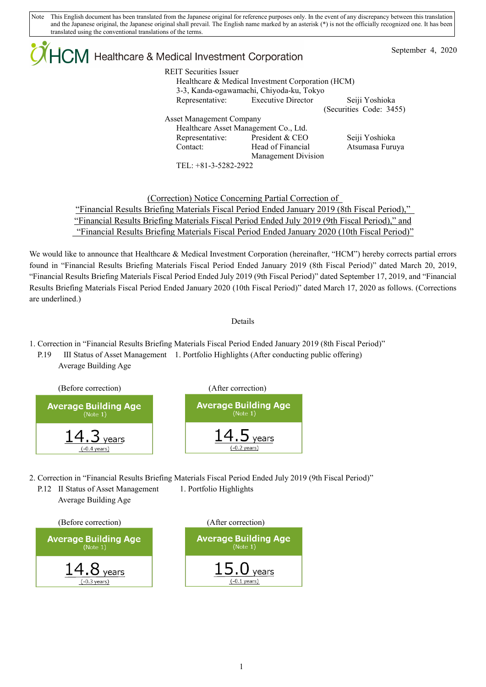Note This English document has been translated from the Japanese original for reference purposes only. In the event of any discrepancy between this translation and the Japanese original, the Japanese original shall prevail. The English name marked by an asterisk (\*) is not the officially recognized one. It has been translated using the conventional translations of the terms.

| $\mathcal{A}$ HCM Healthcare & Medical Investment Corporation |                                 |                                                   |                         | September 4, 2020 |  |
|---------------------------------------------------------------|---------------------------------|---------------------------------------------------|-------------------------|-------------------|--|
|                                                               | <b>REIT Securities Issuer</b>   | Healthcare & Medical Investment Corporation (HCM) |                         |                   |  |
|                                                               |                                 | 3-3, Kanda-ogawamachi, Chiyoda-ku, Tokyo          |                         |                   |  |
|                                                               | Representative:                 | <b>Executive Director</b>                         | Seiji Yoshioka          |                   |  |
|                                                               |                                 |                                                   | (Securities Code: 3455) |                   |  |
|                                                               | <b>Asset Management Company</b> |                                                   |                         |                   |  |
|                                                               |                                 | Healthcare Asset Management Co., Ltd.             |                         |                   |  |
|                                                               | Representative:                 | President & CEO                                   | Seiji Yoshioka          |                   |  |
| Contact:                                                      |                                 | Head of Financial                                 | Atsumasa Furuya         |                   |  |
|                                                               |                                 | Management Division                               |                         |                   |  |
|                                                               | TEL: +81-3-5282-2922            |                                                   |                         |                   |  |
|                                                               |                                 |                                                   |                         |                   |  |

(Correction) Notice Concerning Partial Correction of "Financial Results Briefing Materials Fiscal Period Ended January 2019 (8th Fiscal Period)," "Financial Results Briefing Materials Fiscal Period Ended July 2019 (9th Fiscal Period)," and "Financial Results Briefing Materials Fiscal Period Ended January 2020 (10th Fiscal Period)"

We would like to announce that Healthcare & Medical Investment Corporation (hereinafter, "HCM") hereby corrects partial errors found in "Financial Results Briefing Materials Fiscal Period Ended January 2019 (8th Fiscal Period)" dated March 20, 2019, "Financial Results Briefing Materials Fiscal Period Ended July 2019 (9th Fiscal Period)" dated September 17, 2019, and "Financial Results Briefing Materials Fiscal Period Ended January 2020 (10th Fiscal Period)" dated March 17, 2020 as follows. (Corrections are underlined.)

## Details

- 1. Correction in "Financial Results Briefing Materials Fiscal Period Ended January 2019 (8th Fiscal Period)"
	- P.19 Ⅲ Status of Asset Management 1. Portfolio Highlights (After conducting public offering) Average Building Age



- 2. Correction in "Financial Results Briefing Materials Fiscal Period Ended July 2019 (9th Fiscal Period)"
	- P.12 II Status of Asset Management 1. Portfolio Highlights Average Building Age